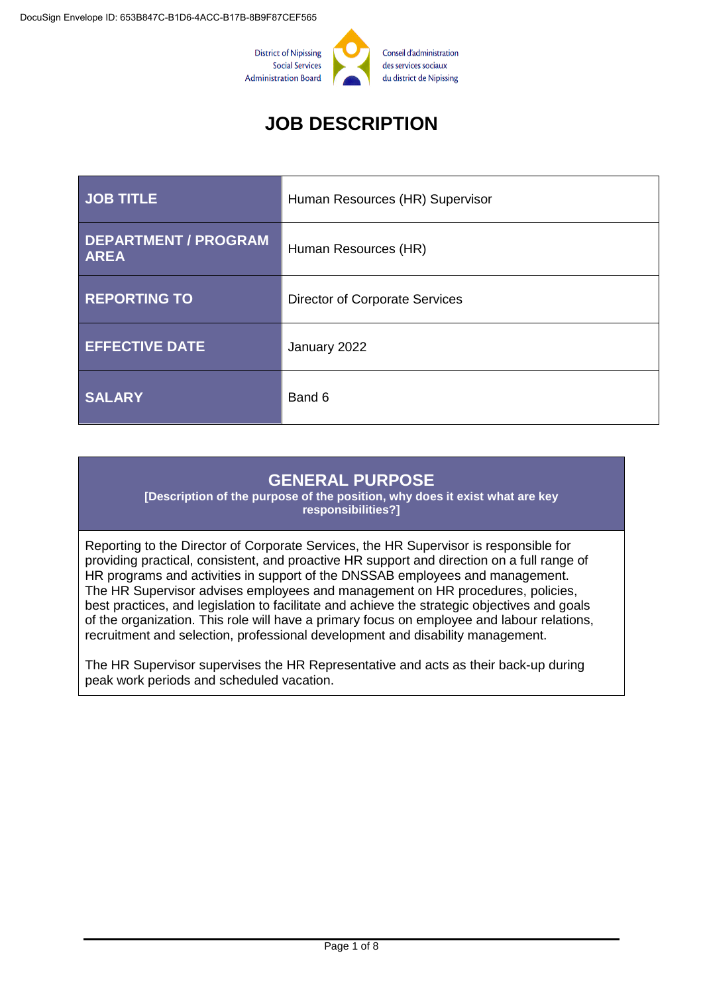

# **JOB DESCRIPTION**

| <b>JOB TITLE</b>                           | Human Resources (HR) Supervisor       |
|--------------------------------------------|---------------------------------------|
| <b>DEPARTMENT / PROGRAM</b><br><b>AREA</b> | Human Resources (HR)                  |
| <b>REPORTING TO</b>                        | <b>Director of Corporate Services</b> |
| <b>EFFECTIVE DATE</b>                      | January 2022                          |
| <b>SALARY</b>                              | Band 6                                |

## **GENERAL PURPOSE**

**[Description of the purpose of the position, why does it exist what are key responsibilities?]**

Reporting to the Director of Corporate Services, the HR Supervisor is responsible for providing practical, consistent, and proactive HR support and direction on a full range of HR programs and activities in support of the DNSSAB employees and management. The HR Supervisor advises employees and management on HR procedures, policies, best practices, and legislation to facilitate and achieve the strategic objectives and goals of the organization. This role will have a primary focus on employee and labour relations, recruitment and selection, professional development and disability management.

The HR Supervisor supervises the HR Representative and acts as their back-up during peak work periods and scheduled vacation.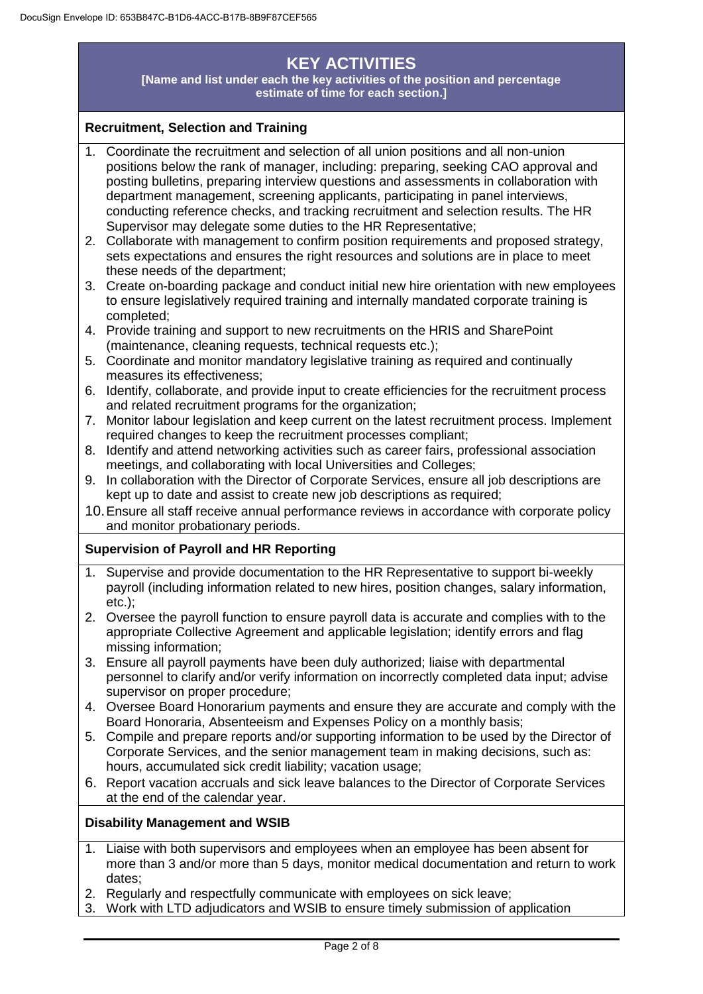# **KEY ACTIVITIES**

**[Name and list under each the key activities of the position and percentage estimate of time for each section.]**

#### **Recruitment, Selection and Training**

- 1. Coordinate the recruitment and selection of all union positions and all non-union positions below the rank of manager, including: preparing, seeking CAO approval and posting bulletins, preparing interview questions and assessments in collaboration with department management, screening applicants, participating in panel interviews, conducting reference checks, and tracking recruitment and selection results. The HR Supervisor may delegate some duties to the HR Representative;
- 2. Collaborate with management to confirm position requirements and proposed strategy, sets expectations and ensures the right resources and solutions are in place to meet these needs of the department;
- 3. Create on-boarding package and conduct initial new hire orientation with new employees to ensure legislatively required training and internally mandated corporate training is completed;
- 4. Provide training and support to new recruitments on the HRIS and SharePoint (maintenance, cleaning requests, technical requests etc.);
- 5. Coordinate and monitor mandatory legislative training as required and continually measures its effectiveness;
- 6. Identify, collaborate, and provide input to create efficiencies for the recruitment process and related recruitment programs for the organization;
- 7. Monitor labour legislation and keep current on the latest recruitment process. Implement required changes to keep the recruitment processes compliant;
- 8. Identify and attend networking activities such as career fairs, professional association meetings, and collaborating with local Universities and Colleges;
- 9. In collaboration with the Director of Corporate Services, ensure all job descriptions are kept up to date and assist to create new job descriptions as required;
- 10.Ensure all staff receive annual performance reviews in accordance with corporate policy and monitor probationary periods.

#### **Supervision of Payroll and HR Reporting**

- 1. Supervise and provide documentation to the HR Representative to support bi-weekly payroll (including information related to new hires, position changes, salary information, etc.);
- 2. Oversee the payroll function to ensure payroll data is accurate and complies with to the appropriate Collective Agreement and applicable legislation; identify errors and flag missing information;
- 3. Ensure all payroll payments have been duly authorized; liaise with departmental personnel to clarify and/or verify information on incorrectly completed data input; advise supervisor on proper procedure:
- 4. Oversee Board Honorarium payments and ensure they are accurate and comply with the Board Honoraria, Absenteeism and Expenses Policy on a monthly basis;
- 5. Compile and prepare reports and/or supporting information to be used by the Director of Corporate Services, and the senior management team in making decisions, such as: hours, accumulated sick credit liability; vacation usage;
- 6. Report vacation accruals and sick leave balances to the Director of Corporate Services at the end of the calendar year.

#### **Disability Management and WSIB**

- 1. Liaise with both supervisors and employees when an employee has been absent for more than 3 and/or more than 5 days, monitor medical documentation and return to work dates;
- 2. Regularly and respectfully communicate with employees on sick leave;
- 3. Work with LTD adjudicators and WSIB to ensure timely submission of application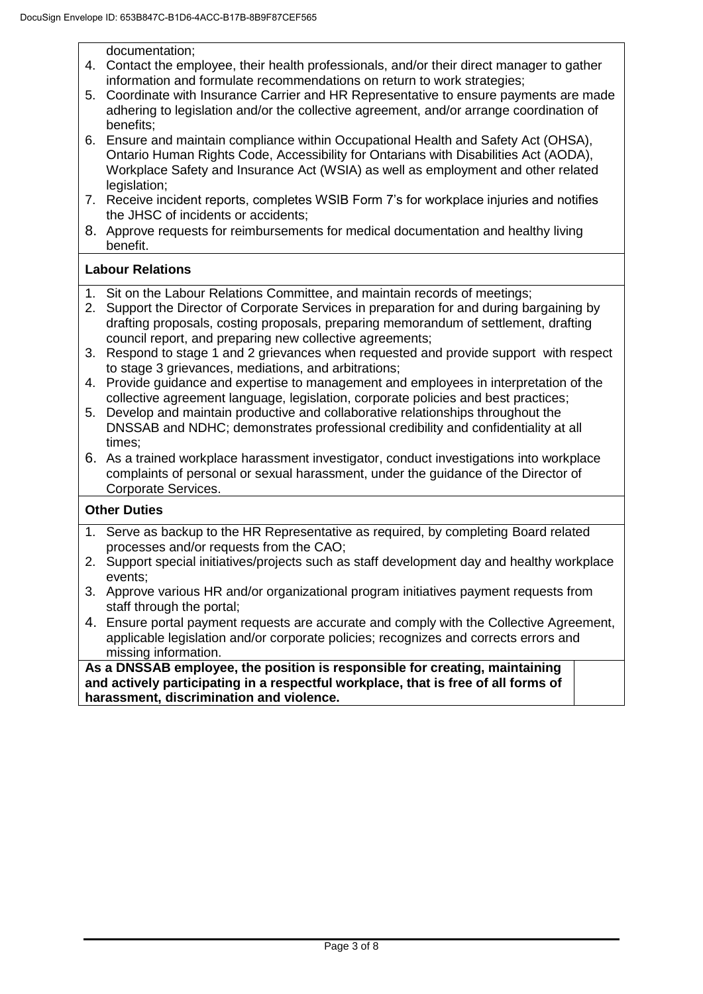documentation;

- 4. Contact the employee, their health professionals, and/or their direct manager to gather information and formulate recommendations on return to work strategies;
- 5. Coordinate with Insurance Carrier and HR Representative to ensure payments are made adhering to legislation and/or the collective agreement, and/or arrange coordination of benefits;
- 6. Ensure and maintain compliance within Occupational Health and Safety Act (OHSA), Ontario Human Rights Code, Accessibility for Ontarians with Disabilities Act (AODA), Workplace Safety and Insurance Act (WSIA) as well as employment and other related legislation;
- 7. Receive incident reports, completes WSIB Form 7's for workplace injuries and notifies the JHSC of incidents or accidents;
- 8. Approve requests for reimbursements for medical documentation and healthy living benefit.

#### **Labour Relations**

- 1. Sit on the Labour Relations Committee, and maintain records of meetings;
- 2. Support the Director of Corporate Services in preparation for and during bargaining by drafting proposals, costing proposals, preparing memorandum of settlement, drafting council report, and preparing new collective agreements;
- 3. Respond to stage 1 and 2 grievances when requested and provide support with respect to stage 3 grievances, mediations, and arbitrations;
- 4. Provide guidance and expertise to management and employees in interpretation of the collective agreement language, legislation, corporate policies and best practices;
- 5. Develop and maintain productive and collaborative relationships throughout the DNSSAB and NDHC; demonstrates professional credibility and confidentiality at all times;
- 6. As a trained workplace harassment investigator, conduct investigations into workplace complaints of personal or sexual harassment, under the guidance of the Director of Corporate Services.

#### **Other Duties**

- 1. Serve as backup to the HR Representative as required, by completing Board related processes and/or requests from the CAO;
- 2. Support special initiatives/projects such as staff development day and healthy workplace events;
- 3. Approve various HR and/or organizational program initiatives payment requests from staff through the portal:
- 4. Ensure portal payment requests are accurate and comply with the Collective Agreement, applicable legislation and/or corporate policies; recognizes and corrects errors and missing information.

**As a DNSSAB employee, the position is responsible for creating, maintaining and actively participating in a respectful workplace, that is free of all forms of harassment, discrimination and violence.**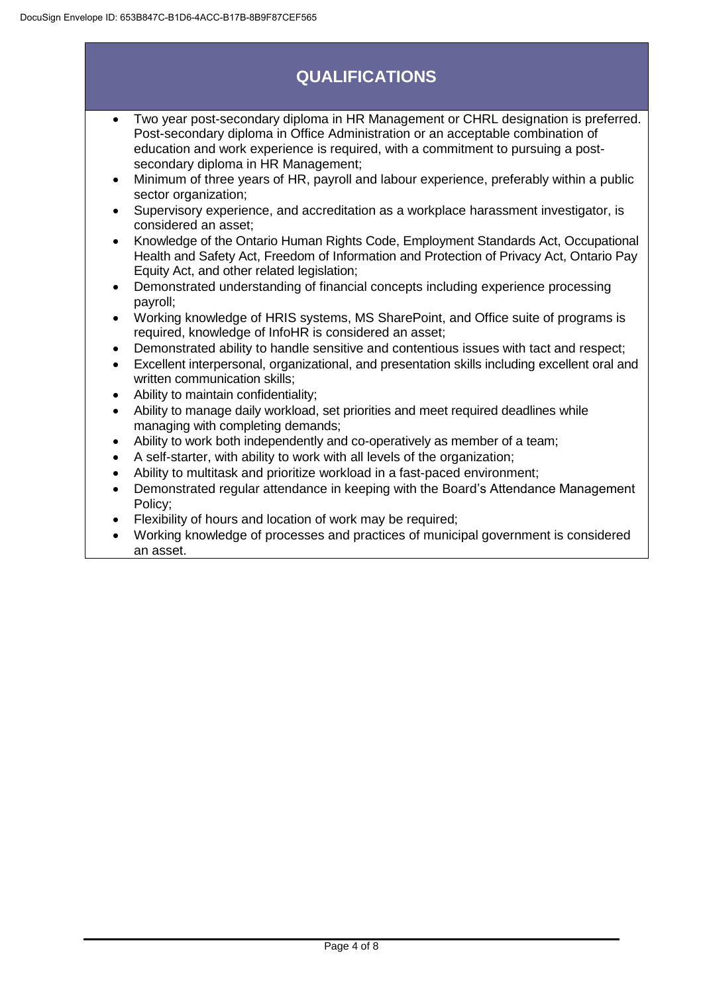# **QUALIFICATIONS**

- Two year post-secondary diploma in HR Management or CHRL designation is preferred. Post-secondary diploma in Office Administration or an acceptable combination of education and work experience is required, with a commitment to pursuing a postsecondary diploma in HR Management;
- Minimum of three years of HR, payroll and labour experience, preferably within a public sector organization;
- Supervisory experience, and accreditation as a workplace harassment investigator, is considered an asset;
- Knowledge of the Ontario Human Rights Code, Employment Standards Act, Occupational Health and Safety Act, Freedom of Information and Protection of Privacy Act, Ontario Pay Equity Act, and other related legislation;
- Demonstrated understanding of financial concepts including experience processing payroll;
- Working knowledge of HRIS systems, MS SharePoint, and Office suite of programs is required, knowledge of InfoHR is considered an asset;
- Demonstrated ability to handle sensitive and contentious issues with tact and respect;
- Excellent interpersonal, organizational, and presentation skills including excellent oral and written communication skills;
- Ability to maintain confidentiality;
- Ability to manage daily workload, set priorities and meet required deadlines while managing with completing demands;
- Ability to work both independently and co-operatively as member of a team;
- A self-starter, with ability to work with all levels of the organization;
- Ability to multitask and prioritize workload in a fast-paced environment;
- Demonstrated regular attendance in keeping with the Board's Attendance Management Policy;
- Flexibility of hours and location of work may be required;
- Working knowledge of processes and practices of municipal government is considered an asset.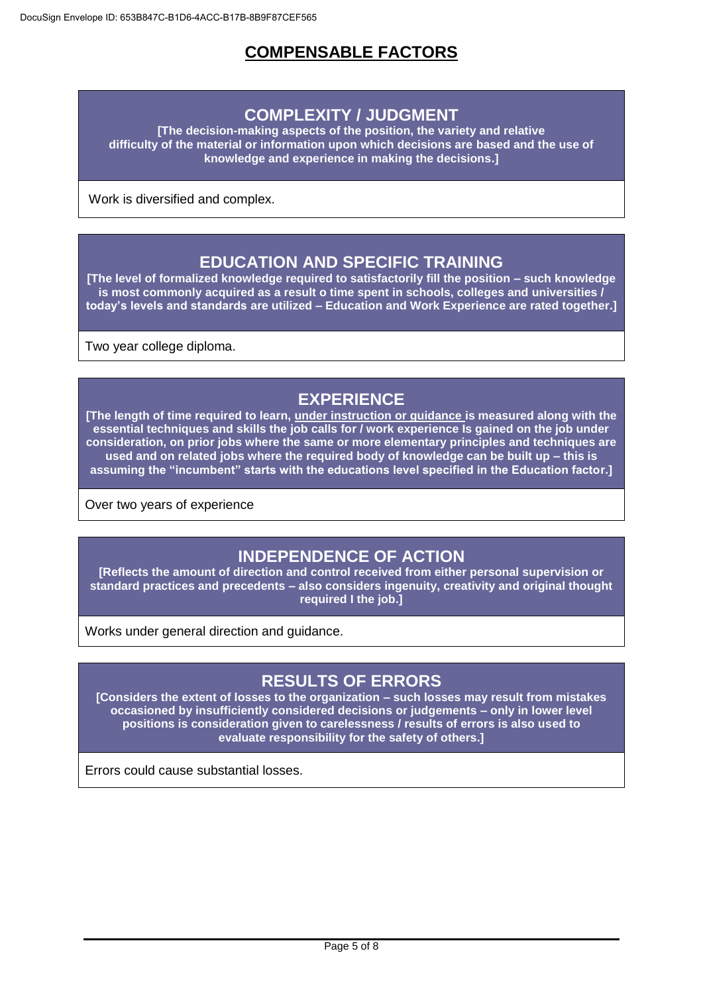## **COMPENSABLE FACTORS**

### **COMPLEXITY / JUDGMENT**

**[The decision-making aspects of the position, the variety and relative difficulty of the material or information upon which decisions are based and the use of knowledge and experience in making the decisions.]**

Work is diversified and complex.

### **EDUCATION AND SPECIFIC TRAINING**

**[The level of formalized knowledge required to satisfactorily fill the position – such knowledge is most commonly acquired as a result o time spent in schools, colleges and universities / today's levels and standards are utilized – Education and Work Experience are rated together.]**

Two year college diploma.

## **EXPERIENCE**

**[The length of time required to learn, under instruction or guidance is measured along with the essential techniques and skills the job calls for / work experience Is gained on the job under consideration, on prior jobs where the same or more elementary principles and techniques are used and on related jobs where the required body of knowledge can be built up – this is assuming the "incumbent" starts with the educations level specified in the Education factor.]**

Over two years of experience

## **INDEPENDENCE OF ACTION**

**[Reflects the amount of direction and control received from either personal supervision or standard practices and precedents – also considers ingenuity, creativity and original thought required I the job.]**

Works under general direction and guidance.

### **RESULTS OF ERRORS**

**[Considers the extent of losses to the organization – such losses may result from mistakes occasioned by insufficiently considered decisions or judgements – only in lower level positions is consideration given to carelessness / results of errors is also used to evaluate responsibility for the safety of others.]**

Errors could cause substantial losses.